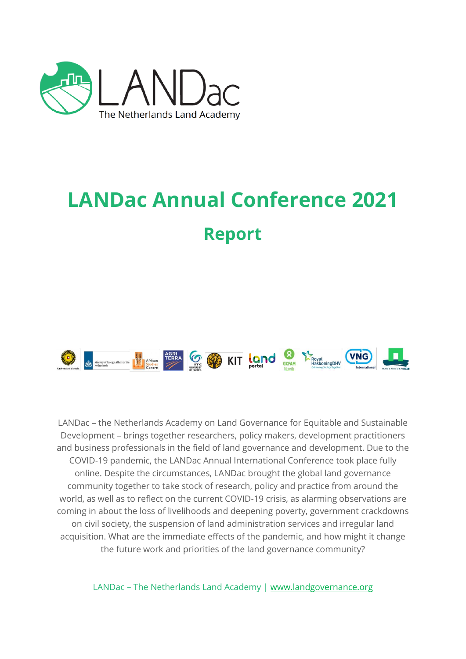

# **LANDac Annual Conference 2021 Report**



LANDac – the Netherlands Academy on Land Governance for Equitable and Sustainable Development – brings together researchers, policy makers, development practitioners and business professionals in the field of land governance and development. Due to the COVID-19 pandemic, the LANDac Annual International Conference took place fully online. Despite the circumstances, LANDac brought the global land governance community together to take stock of research, policy and practice from around the world, as well as to reflect on the current COVID-19 crisis, as alarming observations are coming in about the loss of livelihoods and deepening poverty, government crackdowns on civil society, the suspension of land administration services and irregular land acquisition. What are the immediate effects of the pandemic, and how might it change the future work and priorities of the land governance community?

LANDac – The Netherlands Land Academy | [www.landgovernance.org](file:///C:/Users/5905621/AppData/Local/Microsoft/Windows/INetCache/Content.Outlook/UE114ULO/www.landgovernance.org)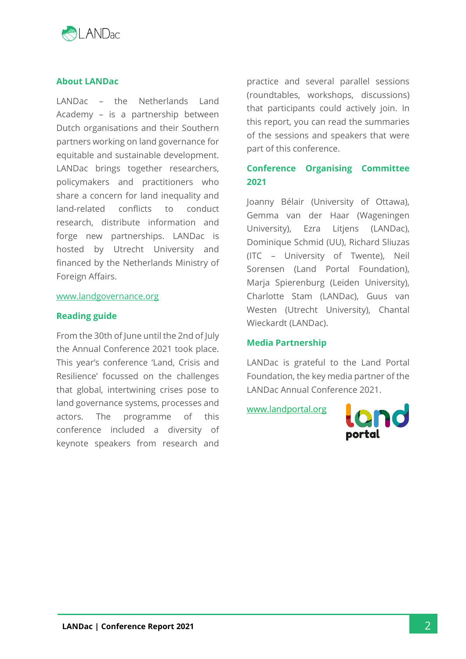

# **About LANDac**

LANDac – the Netherlands Land Academy – is a partnership between Dutch organisations and their Southern partners working on land governance for equitable and sustainable development. LANDac brings together researchers, policymakers and practitioners who share a concern for land inequality and land-related conflicts to conduct research, distribute information and forge new partnerships. LANDac is hosted by Utrecht University and financed by the Netherlands Ministry of Foreign Affairs.

#### [www.landgovernance.org](http://www.landgovernance.org/)

#### **Reading guide**

From the 30th of June until the 2nd of July the Annual Conference 2021 took place. This year's conference 'Land, Crisis and Resilience' focussed on the challenges that global, intertwining crises pose to land governance systems, processes and actors. The programme of this conference included a diversity of keynote speakers from research and

practice and several parallel sessions (roundtables, workshops, discussions) that participants could actively join. In this report, you can read the summaries of the sessions and speakers that were part of this conference.

# **Conference Organising Committee 2021**

Joanny Bélair (University of Ottawa), Gemma van der Haar (Wageningen University), Ezra Litjens (LANDac), Dominique Schmid (UU), Richard Sliuzas (ITC – University of Twente), Neil Sorensen (Land Portal Foundation), Marja Spierenburg (Leiden University), Charlotte Stam (LANDac), Guus van Westen (Utrecht University), Chantal Wieckardt (LANDac).

#### **Media Partnership**

LANDac is grateful to the Land Portal Foundation, the key media partner of the LANDac Annual Conference 2021.

[www.landportal.org](http://www.landportal.org/)

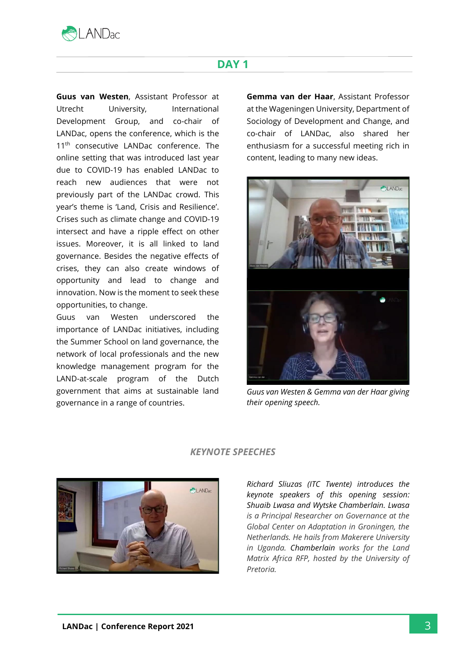

# **DAY 1**

**Guus van Westen**, Assistant Professor at Utrecht University, International Development Group, and co-chair of LANDac, opens the conference, which is the 11<sup>th</sup> consecutive LANDac conference. The online setting that was introduced last year due to COVID-19 has enabled LANDac to reach new audiences that were not previously part of the LANDac crowd. This year's theme is 'Land, Crisis and Resilience'. Crises such as climate change and COVID-19 intersect and have a ripple effect on other issues. Moreover, it is all linked to land governance. Besides the negative effects of crises, they can also create windows of opportunity and lead to change and innovation. Now is the moment to seek these opportunities, to change.

Guus van Westen underscored the importance of LANDac initiatives, including the Summer School on land governance, the network of local professionals and the new knowledge management program for the LAND-at-scale program of the Dutch government that aims at sustainable land governance in a range of countries.

**Gemma van der Haar**, Assistant Professor at the Wageningen University, Department of Sociology of Development and Change, and co-chair of LANDac, also shared her enthusiasm for a successful meeting rich in content, leading to many new ideas.



*Guus van Westen & Gemma van der Haar giving their opening speech.*



## *KEYNOTE SPEECHES*

*Richard Sliuzas (ITC Twente) introduces the keynote speakers of this opening session: Shuaib Lwasa and Wytske Chamberlain. Lwasa is a Principal Researcher on Governance at the Global Center on Adaptation in Groningen, the Netherlands. He hails from Makerere University in Uganda. Chamberlain works for the Land Matrix Africa RFP, hosted by the University of Pretoria.*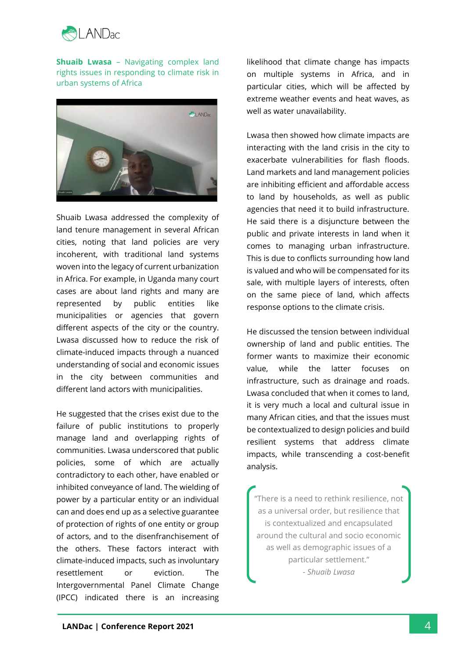

**Shuaib Lwasa** – Navigating complex land rights issues in responding to climate risk in urban systems of Africa



Shuaib Lwasa addressed the complexity of land tenure management in several African cities, noting that land policies are very incoherent, with traditional land systems woven into the legacy of current urbanization in Africa. For example, in Uganda many court cases are about land rights and many are represented by public entities like municipalities or agencies that govern different aspects of the city or the country. Lwasa discussed how to reduce the risk of climate-induced impacts through a nuanced understanding of social and economic issues in the city between communities and different land actors with municipalities.

He suggested that the crises exist due to the failure of public institutions to properly manage land and overlapping rights of communities. Lwasa underscored that public policies, some of which are actually contradictory to each other, have enabled or inhibited conveyance of land. The wielding of power by a particular entity or an individual can and does end up as a selective guarantee of protection of rights of one entity or group of actors, and to the disenfranchisement of the others. These factors interact with climate-induced impacts, such as involuntary resettlement or eviction. The Intergovernmental Panel Climate Change (IPCC) indicated there is an increasing

likelihood that climate change has impacts on multiple systems in Africa, and in particular cities, which will be affected by extreme weather events and heat waves, as well as water unavailability.

Lwasa then showed how climate impacts are interacting with the land crisis in the city to exacerbate vulnerabilities for flash floods. Land markets and land management policies are inhibiting efficient and affordable access to land by households, as well as public agencies that need it to build infrastructure. He said there is a disjuncture between the public and private interests in land when it comes to managing urban infrastructure. This is due to conflicts surrounding how land is valued and who will be compensated for its sale, with multiple layers of interests, often on the same piece of land, which affects response options to the climate crisis.

He discussed the tension between individual ownership of land and public entities. The former wants to maximize their economic value, while the latter focuses on infrastructure, such as drainage and roads. Lwasa concluded that when it comes to land, it is very much a local and cultural issue in many African cities, and that the issues must be contextualized to design policies and build resilient systems that address climate impacts, while transcending a cost-benefit analysis.

"There is a need to rethink resilience, not as a universal order, but resilience that is contextualized and encapsulated around the cultural and socio economic as well as demographic issues of a particular settlement." *- Shuaib Lwasa*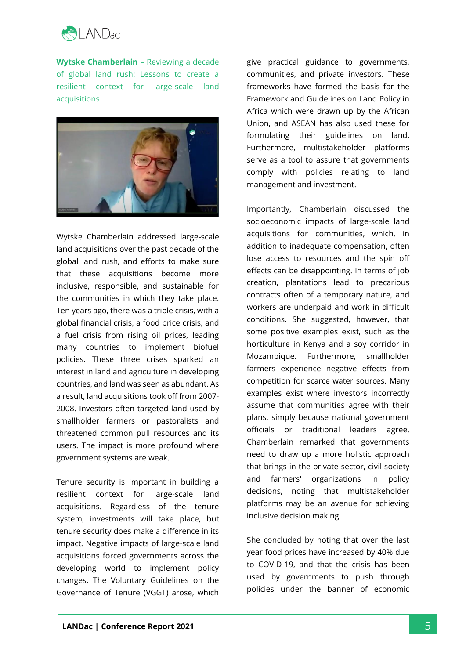

**Wytske Chamberlain** – Reviewing a decade of global land rush: Lessons to create a resilient context for large-scale land acquisitions



Wytske Chamberlain addressed large-scale land acquisitions over the past decade of the global land rush, and efforts to make sure that these acquisitions become more inclusive, responsible, and sustainable for the communities in which they take place. Ten years ago, there was a triple crisis, with a global financial crisis, a food price crisis, and a fuel crisis from rising oil prices, leading many countries to implement biofuel policies. These three crises sparked an interest in land and agriculture in developing countries, and land was seen as abundant. As a result, land acquisitions took off from 2007- 2008. Investors often targeted land used by smallholder farmers or pastoralists and threatened common pull resources and its users. The impact is more profound where government systems are weak.

Tenure security is important in building a resilient context for large-scale land acquisitions. Regardless of the tenure system, investments will take place, but tenure security does make a difference in its impact. Negative impacts of large-scale land acquisitions forced governments across the developing world to implement policy changes. The Voluntary Guidelines on the Governance of Tenure (VGGT) arose, which

give practical guidance to governments, communities, and private investors. These frameworks have formed the basis for the Framework and Guidelines on Land Policy in Africa which were drawn up by the African Union, and ASEAN has also used these for formulating their guidelines on land. Furthermore, multistakeholder platforms serve as a tool to assure that governments comply with policies relating to land management and investment.

Importantly, Chamberlain discussed the socioeconomic impacts of large-scale land acquisitions for communities, which, in addition to inadequate compensation, often lose access to resources and the spin off effects can be disappointing. In terms of job creation, plantations lead to precarious contracts often of a temporary nature, and workers are underpaid and work in difficult conditions. She suggested, however, that some positive examples exist, such as the horticulture in Kenya and a soy corridor in Mozambique. Furthermore, smallholder farmers experience negative effects from competition for scarce water sources. Many examples exist where investors incorrectly assume that communities agree with their plans, simply because national government officials or traditional leaders agree. Chamberlain remarked that governments need to draw up a more holistic approach that brings in the private sector, civil society and farmers' organizations in policy decisions, noting that multistakeholder platforms may be an avenue for achieving inclusive decision making.

She concluded by noting that over the last year food prices have increased by 40% due to COVID-19, and that the crisis has been used by governments to push through policies under the banner of economic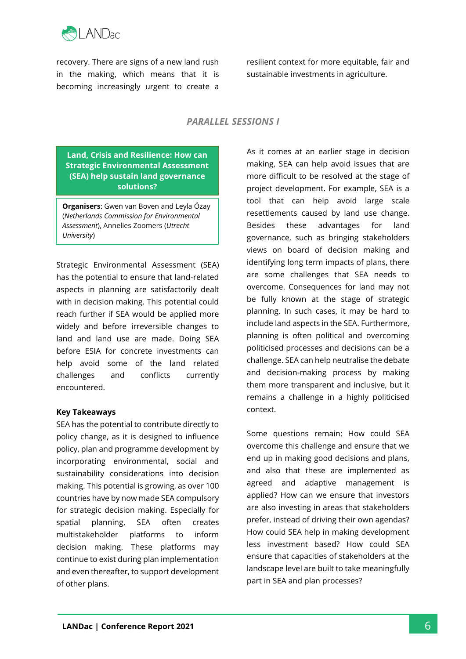

recovery. There are signs of a new land rush in the making, which means that it is becoming increasingly urgent to create a

resilient context for more equitable, fair and sustainable investments in agriculture.

# *PARALLEL SESSIONS I*

**Land, Crisis and Resilience: How can Strategic Environmental Assessment (SEA) help sustain land governance solutions?**

**Organisers**: Gwen van Boven and Leyla Özay (*Netherlands Commission for Environmental Assessment*), Annelies Zoomers (*Utrecht University*)

Strategic Environmental Assessment (SEA) has the potential to ensure that land-related aspects in planning are satisfactorily dealt with in decision making. This potential could reach further if SEA would be applied more widely and before irreversible changes to land and land use are made. Doing SEA before ESIA for concrete investments can help avoid some of the land related challenges and conflicts currently encountered.

#### **Key Takeaways**

SEA has the potential to contribute directly to policy change, as it is designed to influence policy, plan and programme development by incorporating environmental, social and sustainability considerations into decision making. This potential is growing, as over 100 countries have by now made SEA compulsory for strategic decision making. Especially for spatial planning, SEA often creates multistakeholder platforms to inform decision making. These platforms may continue to exist during plan implementation and even thereafter, to support development of other plans.

As it comes at an earlier stage in decision making, SEA can help avoid issues that are more difficult to be resolved at the stage of project development. For example, SEA is a tool that can help avoid large scale resettlements caused by land use change. Besides these advantages for land governance, such as bringing stakeholders views on board of decision making and identifying long term impacts of plans, there are some challenges that SEA needs to overcome. Consequences for land may not be fully known at the stage of strategic planning. In such cases, it may be hard to include land aspects in the SEA. Furthermore, planning is often political and overcoming politicised processes and decisions can be a challenge. SEA can help neutralise the debate and decision-making process by making them more transparent and inclusive, but it remains a challenge in a highly politicised context.

Some questions remain: How could SEA overcome this challenge and ensure that we end up in making good decisions and plans, and also that these are implemented as agreed and adaptive management is applied? How can we ensure that investors are also investing in areas that stakeholders prefer, instead of driving their own agendas? How could SEA help in making development less investment based? How could SEA ensure that capacities of stakeholders at the landscape level are built to take meaningfully part in SEA and plan processes?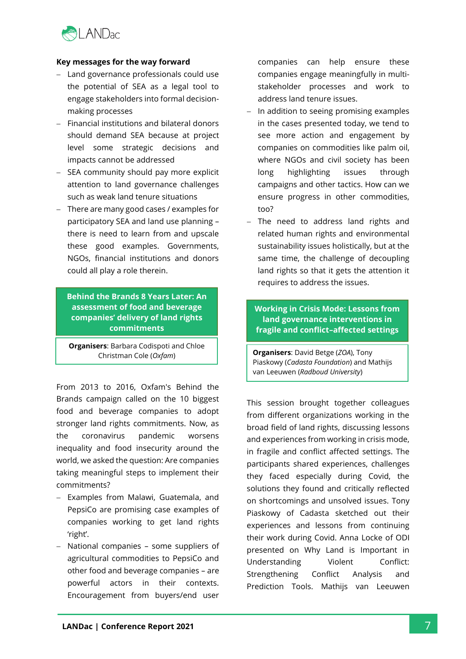

#### **Key messages for the way forward**

- − Land governance professionals could use the potential of SEA as a legal tool to engage stakeholders into formal decisionmaking processes
- − Financial institutions and bilateral donors should demand SEA because at project level some strategic decisions and impacts cannot be addressed
- − SEA community should pay more explicit attention to land governance challenges such as weak land tenure situations
- − There are many good cases / examples for participatory SEA and land use planning – there is need to learn from and upscale these good examples. Governments, NGOs, financial institutions and donors could all play a role therein.

**Behind the Brands 8 Years Later: An assessment of food and beverage companies' delivery of land rights commitments**

**Organisers**: Barbara Codispoti and Chloe Christman Cole (*Oxfam*)

From 2013 to 2016, Oxfam's Behind the Brands campaign called on the 10 biggest food and beverage companies to adopt stronger land rights commitments. Now, as the coronavirus pandemic worsens inequality and food insecurity around the world, we asked the question: Are companies taking meaningful steps to implement their commitments?

- − Examples from Malawi, Guatemala, and PepsiCo are promising case examples of companies working to get land rights 'right'.
- − National companies some suppliers of agricultural commodities to PepsiCo and other food and beverage companies – are powerful actors in their contexts. Encouragement from buyers/end user

companies can help ensure these companies engage meaningfully in multistakeholder processes and work to address land tenure issues.

- − In addition to seeing promising examples in the cases presented today, we tend to see more action and engagement by companies on commodities like palm oil, where NGOs and civil society has been long highlighting issues through campaigns and other tactics. How can we ensure progress in other commodities, too?
- − The need to address land rights and related human rights and environmental sustainability issues holistically, but at the same time, the challenge of decoupling land rights so that it gets the attention it requires to address the issues.

**Working in Crisis Mode: Lessons from land governance interventions in fragile and conflict–affected settings**

**Organisers**: David Betge (*ZOA*), Tony Piaskowy (*Cadasta Foundation*) and Mathijs van Leeuwen (*Radboud University*)

This session brought together colleagues from different organizations working in the broad field of land rights, discussing lessons and experiences from working in crisis mode, in fragile and conflict affected settings. The participants shared experiences, challenges they faced especially during Covid, the solutions they found and critically reflected on shortcomings and unsolved issues. Tony Piaskowy of Cadasta sketched out their experiences and lessons from continuing their work during Covid. Anna Locke of ODI presented on Why Land is Important in Understanding Violent Conflict: Strengthening Conflict Analysis and Prediction Tools. Mathijs van Leeuwen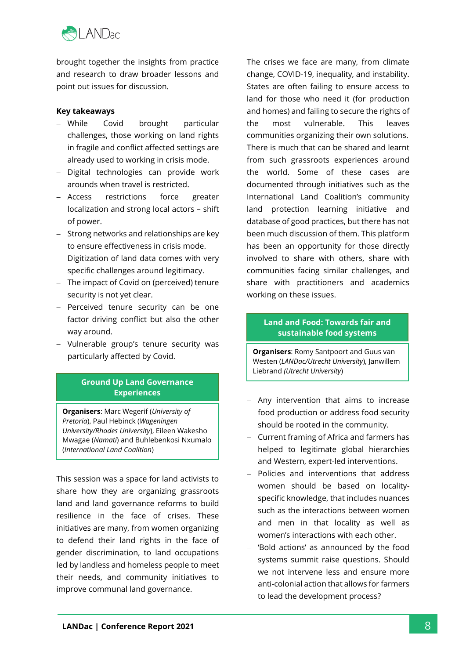

brought together the insights from practice and research to draw broader lessons and point out issues for discussion.

#### **Key takeaways**

- − While Covid brought particular challenges, those working on land rights in fragile and conflict affected settings are already used to working in crisis mode.
- − Digital technologies can provide work arounds when travel is restricted.
- − Access restrictions force greater localization and strong local actors – shift of power.
- − Strong networks and relationships are key to ensure effectiveness in crisis mode.
- − Digitization of land data comes with very specific challenges around legitimacy.
- − The impact of Covid on (perceived) tenure security is not yet clear.
- − Perceived tenure security can be one factor driving conflict but also the other way around.
- − Vulnerable group's tenure security was particularly affected by Covid.

# **Ground Up Land Governance Experiences**

**Organisers**: Marc Wegerif (*University of Pretoria*), Paul Hebinck (*Wageningen University/Rhodes University*), Eileen Wakesho Mwagae (*Namati*) and Buhlebenkosi Nxumalo (*International Land Coalition*)

This session was a space for land activists to share how they are organizing grassroots land and land governance reforms to build resilience in the face of crises. These initiatives are many, from women organizing to defend their land rights in the face of gender discrimination, to land occupations led by landless and homeless people to meet their needs, and community initiatives to improve communal land governance.

The crises we face are many, from climate change, COVID-19, inequality, and instability. States are often failing to ensure access to land for those who need it (for production and homes) and failing to secure the rights of the most vulnerable. This leaves communities organizing their own solutions. There is much that can be shared and learnt from such grassroots experiences around the world. Some of these cases are documented through initiatives such as the International Land Coalition's community land protection learning initiative and database of good practices, but there has not been much discussion of them. This platform has been an opportunity for those directly involved to share with others, share with communities facing similar challenges, and share with practitioners and academics working on these issues.

# **Land and Food: Towards fair and sustainable food systems**

**Organisers**: Romy Santpoort and Guus van Westen (*LANDac/Utrecht University*), Janwillem Liebrand *(Utrecht University*)

- − Any intervention that aims to increase food production or address food security should be rooted in the community.
- − Current framing of Africa and farmers has helped to legitimate global hierarchies and Western, expert-led interventions.
- − Policies and interventions that address women should be based on localityspecific knowledge, that includes nuances such as the interactions between women and men in that locality as well as women's interactions with each other.
- − 'Bold actions' as announced by the food systems summit raise questions. Should we not intervene less and ensure more anti-colonial action that allows for farmers to lead the development process?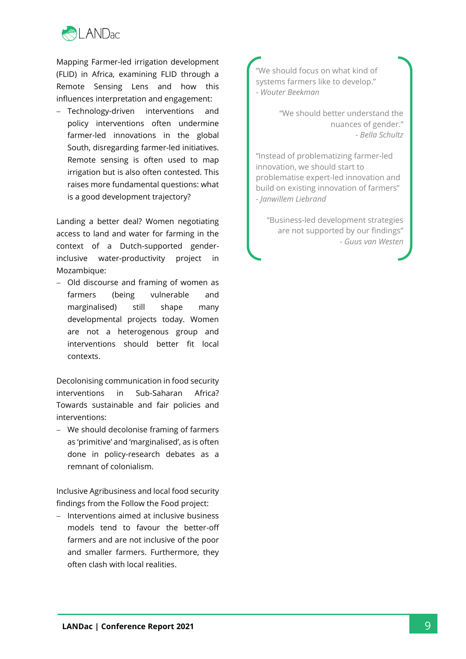

Mapping Farmer-led irrigation development (FLID) in Africa, examining FLID through a Remote Sensing Lens and how this influences interpretation and engagement:

− Technology-driven interventions and policy interventions often undermine farmer-led innovations in the global South, disregarding farmer-led initiatives. Remote sensing is often used to map irrigation but is also often contested. This raises more fundamental questions: what is a good development trajectory?

Landing a better deal? Women negotiating access to land and water for farming in the context of a Dutch-supported genderinclusive water-productivity project in Mozambique:

− Old discourse and framing of women as farmers (being vulnerable and marginalised) still shape many developmental projects today. Women are not a heterogenous group and interventions should better fit local contexts.

Decolonising communication in food security interventions in Sub-Saharan Africa? Towards sustainable and fair policies and interventions:

− We should decolonise framing of farmers as 'primitive' and 'marginalised', as is often done in policy-research debates as a remnant of colonialism.

Inclusive Agribusiness and local food security findings from the Follow the Food project:

− Interventions aimed at inclusive business models tend to favour the better-off farmers and are not inclusive of the poor and smaller farmers. Furthermore, they often clash with local realities.

"We should focus on what kind of systems farmers like to develop." - *Wouter Beekman*

> "We should better understand the nuances of gender." - *Bella Schultz*

"Instead of problematizing farmer-led innovation, we should start to problematise expert-led innovation and build on existing innovation of farmers" - *Janwillem Liebrand*

"Business-led development strategies are not supported by our findings" - *Guus van Westen*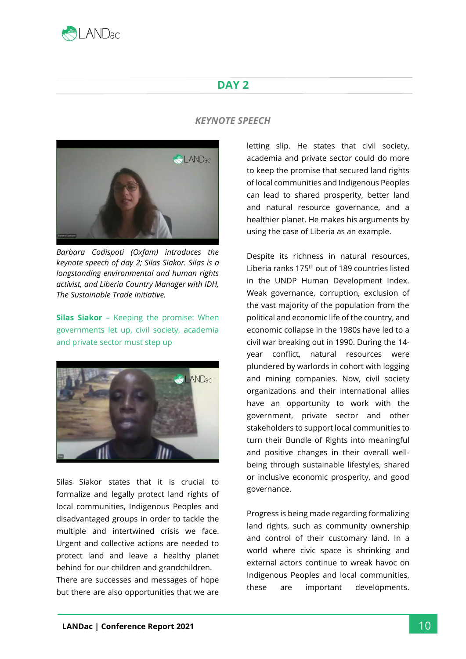

# **DAY 2**

## *KEYNOTE SPEECH*



*Barbara Codispoti (Oxfam) introduces the keynote speech of day 2; Silas Siakor. Silas is a longstanding environmental and human rights activist, and Liberia Country Manager with IDH, The Sustainable Trade Initiative.*

**Silas Siakor** – Keeping the promise: When governments let up, civil society, academia and private sector must step up



Silas Siakor states that it is crucial to formalize and legally protect land rights of local communities, Indigenous Peoples and disadvantaged groups in order to tackle the multiple and intertwined crisis we face. Urgent and collective actions are needed to protect land and leave a healthy planet behind for our children and grandchildren. There are successes and messages of hope but there are also opportunities that we are

letting slip. He states that civil society, academia and private sector could do more to keep the promise that secured land rights of local communities and Indigenous Peoples can lead to shared prosperity, better land and natural resource governance, and a healthier planet. He makes his arguments by using the case of Liberia as an example.

Despite its richness in natural resources, Liberia ranks 175th out of 189 countries listed in the UNDP Human Development Index. Weak governance, corruption, exclusion of the vast majority of the population from the political and economic life of the country, and economic collapse in the 1980s have led to a civil war breaking out in 1990. During the 14 year conflict, natural resources were plundered by warlords in cohort with logging and mining companies. Now, civil society organizations and their international allies have an opportunity to work with the government, private sector and other stakeholders to support local communities to turn their Bundle of Rights into meaningful and positive changes in their overall wellbeing through sustainable lifestyles, shared or inclusive economic prosperity, and good governance.

Progress is being made regarding formalizing land rights, such as community ownership and control of their customary land. In a world where civic space is shrinking and external actors continue to wreak havoc on Indigenous Peoples and local communities, these are important developments.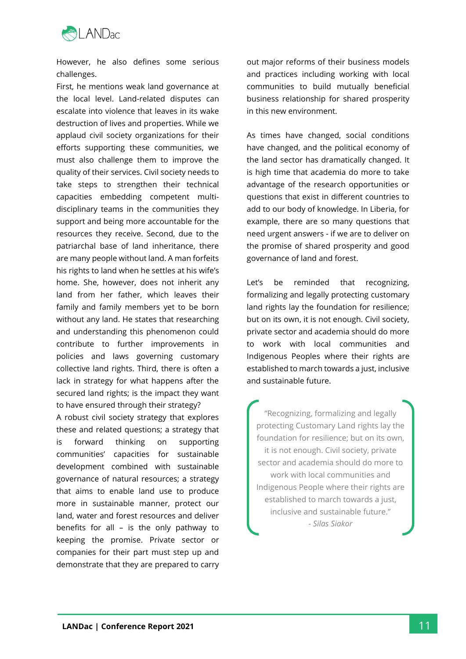

However, he also defines some serious challenges.

First, he mentions weak land governance at the local level. Land-related disputes can escalate into violence that leaves in its wake destruction of lives and properties. While we applaud civil society organizations for their efforts supporting these communities, we must also challenge them to improve the quality of their services. Civil society needs to take steps to strengthen their technical capacities embedding competent multidisciplinary teams in the communities they support and being more accountable for the resources they receive. Second, due to the patriarchal base of land inheritance, there are many people without land. A man forfeits his rights to land when he settles at his wife's home. She, however, does not inherit any land from her father, which leaves their family and family members yet to be born without any land. He states that researching and understanding this phenomenon could contribute to further improvements in policies and laws governing customary collective land rights. Third, there is often a lack in strategy for what happens after the secured land rights; is the impact they want to have ensured through their strategy?

A robust civil society strategy that explores these and related questions; a strategy that is forward thinking on supporting communities' capacities for sustainable development combined with sustainable governance of natural resources; a strategy that aims to enable land use to produce more in sustainable manner, protect our land, water and forest resources and deliver benefits for all – is the only pathway to keeping the promise. Private sector or companies for their part must step up and demonstrate that they are prepared to carry

out major reforms of their business models and practices including working with local communities to build mutually beneficial business relationship for shared prosperity in this new environment.

As times have changed, social conditions have changed, and the political economy of the land sector has dramatically changed. It is high time that academia do more to take advantage of the research opportunities or questions that exist in different countries to add to our body of knowledge. In Liberia, for example, there are so many questions that need urgent answers - if we are to deliver on the promise of shared prosperity and good governance of land and forest.

Let's be reminded that recognizing, formalizing and legally protecting customary land rights lay the foundation for resilience; but on its own, it is not enough. Civil society, private sector and academia should do more to work with local communities and Indigenous Peoples where their rights are established to march towards a just, inclusive and sustainable future.

"Recognizing, formalizing and legally protecting Customary Land rights lay the foundation for resilience; but on its own, it is not enough. Civil society, private sector and academia should do more to work with local communities and Indigenous People where their rights are established to march towards a just, inclusive and sustainable future." *- Silas Siakor*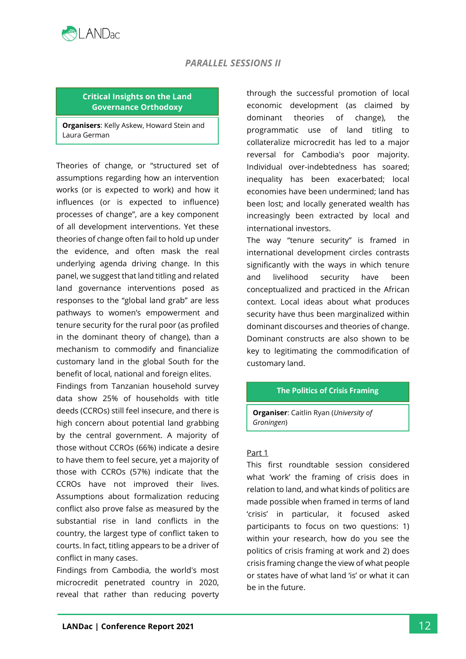

# *PARALLEL SESSIONS II*

#### **Critical Insights on the Land Governance Orthodoxy**

**Organisers**: Kelly Askew, Howard Stein and Laura German

Theories of change, or "structured set of assumptions regarding how an intervention works (or is expected to work) and how it influences (or is expected to influence) processes of change", are a key component of all development interventions. Yet these theories of change often fail to hold up under the evidence, and often mask the real underlying agenda driving change. In this panel, we suggest that land titling and related land governance interventions posed as responses to the "global land grab" are less pathways to women's empowerment and tenure security for the rural poor (as profiled in the dominant theory of change), than a mechanism to commodify and financialize customary land in the global South for the benefit of local, national and foreign elites.

Findings from Tanzanian household survey data show 25% of households with title deeds (CCROs) still feel insecure, and there is high concern about potential land grabbing by the central government. A majority of those without CCROs (66%) indicate a desire to have them to feel secure, yet a majority of those with CCROs (57%) indicate that the CCROs have not improved their lives. Assumptions about formalization reducing conflict also prove false as measured by the substantial rise in land conflicts in the country, the largest type of conflict taken to courts. In fact, titling appears to be a driver of conflict in many cases.

Findings from Cambodia, the world's most microcredit penetrated country in 2020, reveal that rather than reducing poverty through the successful promotion of local economic development (as claimed by dominant theories of change), the programmatic use of land titling to collateralize microcredit has led to a major reversal for Cambodia's poor majority. Individual over-indebtedness has soared; inequality has been exacerbated; local economies have been undermined; land has been lost; and locally generated wealth has increasingly been extracted by local and international investors.

The way "tenure security" is framed in international development circles contrasts significantly with the ways in which tenure and livelihood security have been conceptualized and practiced in the African context. Local ideas about what produces security have thus been marginalized within dominant discourses and theories of change. Dominant constructs are also shown to be key to legitimating the commodification of customary land.

#### **The Politics of Crisis Framing**

**Organiser**: Caitlin Ryan (*University of Groningen*)

#### Part 1

This first roundtable session considered what 'work' the framing of crisis does in relation to land, and what kinds of politics are made possible when framed in terms of land 'crisis' in particular, it focused asked participants to focus on two questions: 1) within your research, how do you see the politics of crisis framing at work and 2) does crisis framing change the view of what people or states have of what land 'is' or what it can be in the future.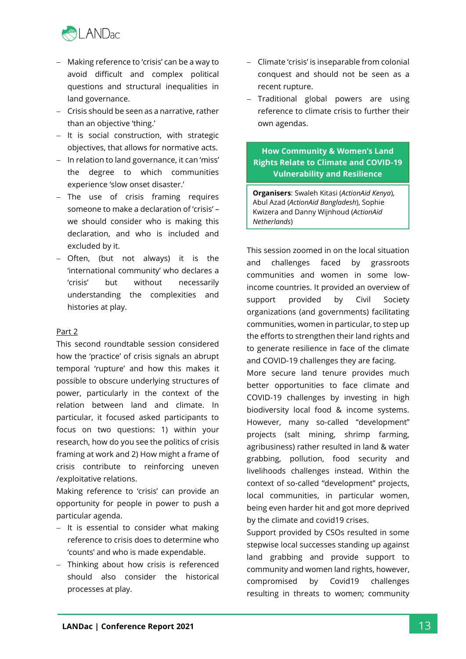

- − Making reference to 'crisis' can be a way to avoid difficult and complex political questions and structural inequalities in land governance.
- − Crisis should be seen as a narrative, rather than an objective 'thing.'
- − It is social construction, with strategic objectives, that allows for normative acts.
- − In relation to land governance, it can 'miss' the degree to which communities experience 'slow onset disaster.'
- − The use of crisis framing requires someone to make a declaration of 'crisis' – we should consider who is making this declaration, and who is included and excluded by it.
- − Often, (but not always) it is the 'international community' who declares a 'crisis' but without necessarily understanding the complexities and histories at play.

#### Part 2

This second roundtable session considered how the 'practice' of crisis signals an abrupt temporal 'rupture' and how this makes it possible to obscure underlying structures of power, particularly in the context of the relation between land and climate. In particular, it focused asked participants to focus on two questions: 1) within your research, how do you see the politics of crisis framing at work and 2) How might a frame of crisis contribute to reinforcing uneven /exploitative relations.

Making reference to 'crisis' can provide an opportunity for people in power to push a particular agenda.

- − It is essential to consider what making reference to crisis does to determine who 'counts' and who is made expendable.
- − Thinking about how crisis is referenced should also consider the historical processes at play.
- − Climate 'crisis' is inseparable from colonial conquest and should not be seen as a recent rupture.
- − Traditional global powers are using reference to climate crisis to further their own agendas.

# **How Community & Women's Land Rights Relate to Climate and COVID-19 Vulnerability and Resilience**

**Organisers**: Swaleh Kitasi (*ActionAid Kenya*), Abul Azad (*ActionAid Bangladesh*), Sophie Kwizera and Danny Wijnhoud (*ActionAid Netherlands*)

This session zoomed in on the local situation and challenges faced by grassroots communities and women in some lowincome countries. It provided an overview of support provided by Civil Society organizations (and governments) facilitating communities, women in particular, to step up the efforts to strengthen their land rights and to generate resilience in face of the climate and COVID-19 challenges they are facing.

More secure land tenure provides much better opportunities to face climate and COVID-19 challenges by investing in high biodiversity local food & income systems. However, many so-called "development" projects (salt mining, shrimp farming, agribusiness) rather resulted in land & water grabbing, pollution, food security and livelihoods challenges instead. Within the context of so-called "development" projects, local communities, in particular women, being even harder hit and got more deprived by the climate and covid19 crises.

Support provided by CSOs resulted in some stepwise local successes standing up against land grabbing and provide support to community and women land rights, however, compromised by Covid19 challenges resulting in threats to women; community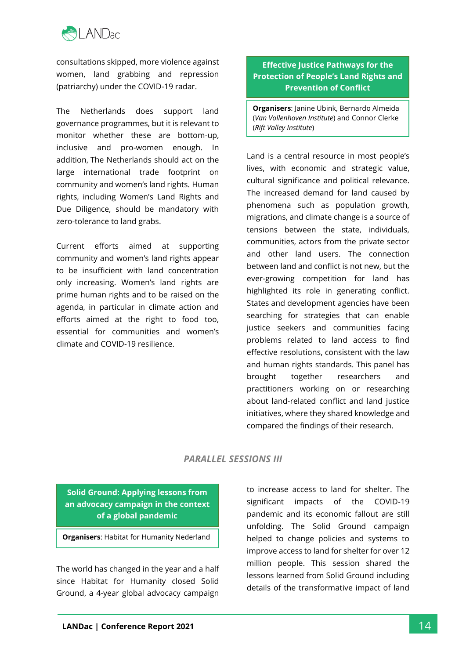

consultations skipped, more violence against women, land grabbing and repression (patriarchy) under the COVID-19 radar.

The Netherlands does support land governance programmes, but it is relevant to monitor whether these are bottom-up, inclusive and pro-women enough. In addition, The Netherlands should act on the large international trade footprint on community and women's land rights. Human rights, including Women's Land Rights and Due Diligence, should be mandatory with zero-tolerance to land grabs.

Current efforts aimed at supporting community and women's land rights appear to be insufficient with land concentration only increasing. Women's land rights are prime human rights and to be raised on the agenda, in particular in climate action and efforts aimed at the right to food too, essential for communities and women's climate and COVID-19 resilience.

# **Effective Justice Pathways for the Protection of People's Land Rights and Prevention of Conflict**

**Organisers**: Janine Ubink, Bernardo Almeida (*Van Vollenhoven Institute*) and Connor Clerke (*Rift Valley Institute*)

Land is a central resource in most people's lives, with economic and strategic value, cultural significance and political relevance. The increased demand for land caused by phenomena such as population growth, migrations, and climate change is a source of tensions between the state, individuals, communities, actors from the private sector and other land users. The connection between land and conflict is not new, but the ever-growing competition for land has highlighted its role in generating conflict. States and development agencies have been searching for strategies that can enable justice seekers and communities facing problems related to land access to find effective resolutions, consistent with the law and human rights standards. This panel has brought together researchers and practitioners working on or researching about land-related conflict and land justice initiatives, where they shared knowledge and compared the findings of their research.

# *PARALLEL SESSIONS III*

**Solid Ground: Applying lessons from an advocacy campaign in the context of a global pandemic**

**Organisers**: Habitat for Humanity Nederland

The world has changed in the year and a half since Habitat for Humanity closed Solid Ground, a 4-year global advocacy campaign

to increase access to land for shelter. The significant impacts of the COVID-19 pandemic and its economic fallout are still unfolding. The Solid Ground campaign helped to change policies and systems to improve access to land for shelter for over 12 million people. This session shared the lessons learned from Solid Ground including details of the transformative impact of land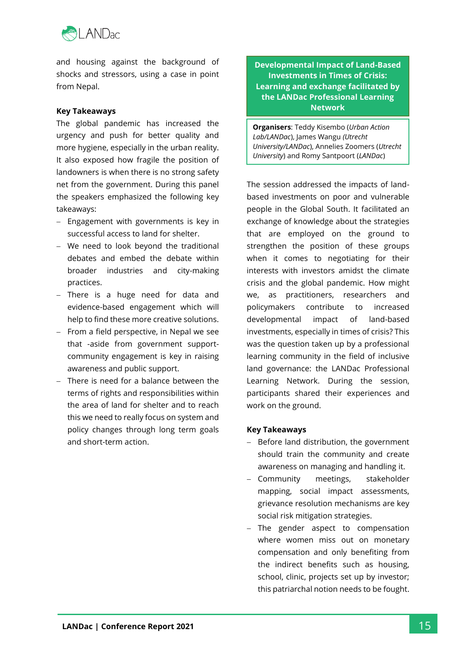

and housing against the background of shocks and stressors, using a case in point from Nepal.

#### **Key Takeaways**

The global pandemic has increased the urgency and push for better quality and more hygiene, especially in the urban reality. It also exposed how fragile the position of landowners is when there is no strong safety net from the government. During this panel the speakers emphasized the following key takeaways:

- − Engagement with governments is key in successful access to land for shelter.
- − We need to look beyond the traditional debates and embed the debate within broader industries and city-making practices.
- − There is a huge need for data and evidence-based engagement which will help to find these more creative solutions.
- From a field perspective, in Nepal we see that -aside from government supportcommunity engagement is key in raising awareness and public support.
- − There is need for a balance between the terms of rights and responsibilities within the area of land for shelter and to reach this we need to really focus on system and policy changes through long term goals and short-term action.

**Developmental Impact of Land-Based Investments in Times of Crisis: Learning and exchange facilitated by the LANDac Professional Learning Network**

**Organisers**: Teddy Kisembo (*Urban Action Lab/LANDac*), James Wangu *(Utrecht University/LANDac*), Annelies Zoomers (*Utrecht University*) and Romy Santpoort (*LANDac*)

The session addressed the impacts of landbased investments on poor and vulnerable people in the Global South. It facilitated an exchange of knowledge about the strategies that are employed on the ground to strengthen the position of these groups when it comes to negotiating for their interests with investors amidst the climate crisis and the global pandemic. How might we, as practitioners, researchers and policymakers contribute to increased developmental impact of land-based investments, especially in times of crisis? This was the question taken up by a professional learning community in the field of inclusive land governance: the LANDac Professional Learning Network. During the session, participants shared their experiences and work on the ground.

#### **Key Takeaways**

- − Before land distribution, the government should train the community and create awareness on managing and handling it.
- − Community meetings, stakeholder mapping, social impact assessments, grievance resolution mechanisms are key social risk mitigation strategies.
- − The gender aspect to compensation where women miss out on monetary compensation and only benefiting from the indirect benefits such as housing, school, clinic, projects set up by investor; this patriarchal notion needs to be fought.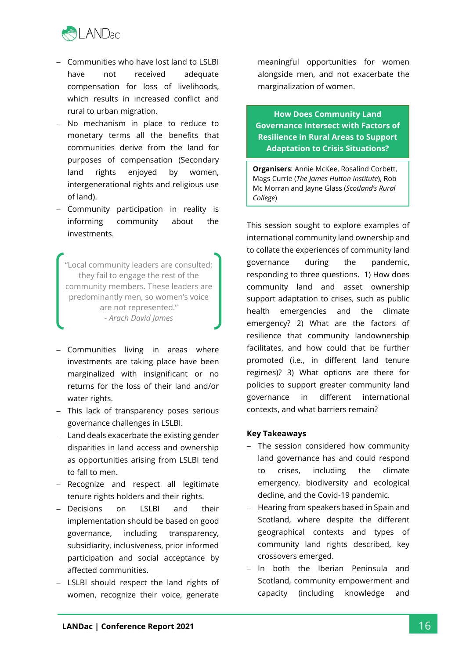

- − Communities who have lost land to LSLBI have not received adequate compensation for loss of livelihoods, which results in increased conflict and rural to urban migration.
- No mechanism in place to reduce to monetary terms all the benefits that communities derive from the land for purposes of compensation (Secondary land rights enjoyed by women, intergenerational rights and religious use of land).
- − Community participation in reality is informing community about the investments.

"Local community leaders are consulted; they fail to engage the rest of the community members. These leaders are predominantly men, so women's voice are not represented." *- Arach David James*

- − Communities living in areas where investments are taking place have been marginalized with insignificant or no returns for the loss of their land and/or water rights.
- − This lack of transparency poses serious governance challenges in LSLBI.
- − Land deals exacerbate the existing gender disparities in land access and ownership as opportunities arising from LSLBI tend to fall to men.
- − Recognize and respect all legitimate tenure rights holders and their rights.
- Decisions on LSLBI and their implementation should be based on good governance, including transparency, subsidiarity, inclusiveness, prior informed participation and social acceptance by affected communities.
- − LSLBI should respect the land rights of women, recognize their voice, generate

meaningful opportunities for women alongside men, and not exacerbate the marginalization of women.

**How Does Community Land Governance Intersect with Factors of Resilience in Rural Areas to Support Adaptation to Crisis Situations?**

**Organisers**: Annie McKee, Rosalind Corbett, Mags Currie (*The James Hutton Institute*), Rob Mc Morran and Jayne Glass (*Scotland's Rural College*)

This session sought to explore examples of international community land ownership and to collate the experiences of community land governance during the pandemic, responding to three questions. 1) How does community land and asset ownership support adaptation to crises, such as public health emergencies and the climate emergency? 2) What are the factors of resilience that community landownership facilitates, and how could that be further promoted (i.e., in different land tenure regimes)? 3) What options are there for policies to support greater community land governance in different international contexts, and what barriers remain?

#### **Key Takeaways**

- − The session considered how community land governance has and could respond to crises, including the climate emergency, biodiversity and ecological decline, and the Covid-19 pandemic.
- − Hearing from speakers based in Spain and Scotland, where despite the different geographical contexts and types of community land rights described, key crossovers emerged.
- − In both the Iberian Peninsula and Scotland, community empowerment and capacity (including knowledge and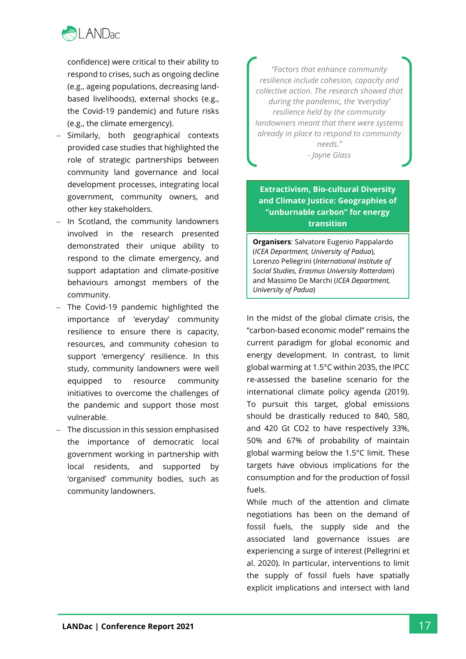

confidence) were critical to their ability to respond to crises, such as ongoing decline (e.g., ageing populations, decreasing landbased livelihoods), external shocks (e.g., the Covid-19 pandemic) and future risks (e.g., the climate emergency).

- − Similarly, both geographical contexts provided case studies that highlighted the role of strategic partnerships between community land governance and local development processes, integrating local government, community owners, and other key stakeholders.
- − In Scotland, the community landowners involved in the research presented demonstrated their unique ability to respond to the climate emergency, and support adaptation and climate-positive behaviours amongst members of the community.
- The Covid-19 pandemic highlighted the importance of 'everyday' community resilience to ensure there is capacity, resources, and community cohesion to support 'emergency' resilience. In this study, community landowners were well equipped to resource community initiatives to overcome the challenges of the pandemic and support those most vulnerable.
- − The discussion in this session emphasised the importance of democratic local government working in partnership with local residents, and supported by 'organised' community bodies, such as community landowners.

*"Factors that enhance community resilience include cohesion, capacity and collective action. The research showed that during the pandemic, the 'everyday' resilience held by the community landowners meant that there were systems already in place to respond to community needs."* - *Jayne Glass*

# **Extractivism, Bio-cultural Diversity and Climate Justice: Geographies of "unburnable carbon" for energy transition**

**Organisers**: Salvatore Eugenio Pappalardo (*ICEA Department, University of Padua*), Lorenzo Pellegrini (*International Institute of Social Studies, Erasmus University Rotterdam*) and Massimo De Marchi (*ICEA Department, University of Padua*)

In the midst of the global climate crisis, the "carbon-based economic model" remains the current paradigm for global economic and energy development. In contrast, to limit global warming at 1.5°C within 2035, the IPCC re-assessed the baseline scenario for the international climate policy agenda (2019). To pursuit this target, global emissions should be drastically reduced to 840, 580, and 420 Gt CO2 to have respectively 33%, 50% and 67% of probability of maintain global warming below the 1.5°C limit. These targets have obvious implications for the consumption and for the production of fossil fuels.

While much of the attention and climate negotiations has been on the demand of fossil fuels, the supply side and the associated land governance issues are experiencing a surge of interest (Pellegrini et al. 2020). In particular, interventions to limit the supply of fossil fuels have spatially explicit implications and intersect with land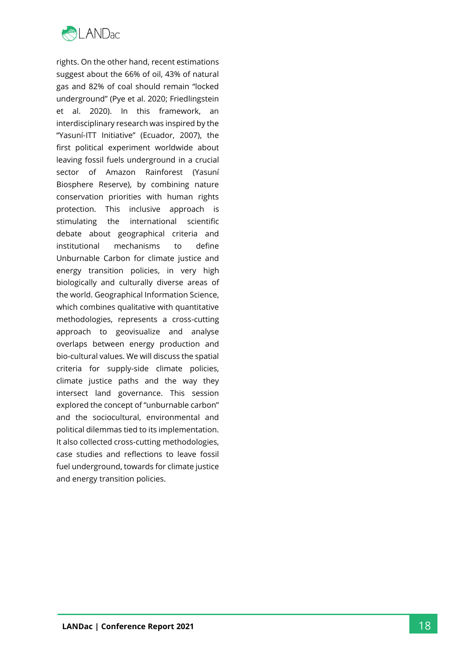

rights. On the other hand, recent estimations suggest about the 66% of oil, 43% of natural gas and 82% of coal should remain "locked underground" (Pye et al. 2020; Friedlingstein et al. 2020). In this framework, an interdisciplinary research was inspired by the "Yasuní -ITT Initiative" (Ecuador, 2007), the first political experiment worldwide about leaving fossil fuels underground in a crucial sector of Amazon Rainforest (Yasuní Biosphere Reserve), by combining nature conservation priorities with human rights protection. This inclusive approach is stimulating the international scientific debate about geographical criteria and institutional mechanisms to define Unburnable Carbon for climate justice and energy transition policies, in very high biologically and culturally diverse areas of the world. Geographical Information Science, which combines qualitative with quantitative methodologies, represents a cross -cutting approach to geovisualize and analyse overlaps between energy production and bio -cultural values. We will discuss the spatial criteria for supply -side climate policies, climate justice paths and the way they intersect land governance. This session explored the concept of "unburnable carbon" and the sociocultural, environmental and political dilemmas tied to its implementation. It also collected cross -cutting methodologies, case studies and reflections to leave fossil fuel underground, towards for climate justice and energy transition policies.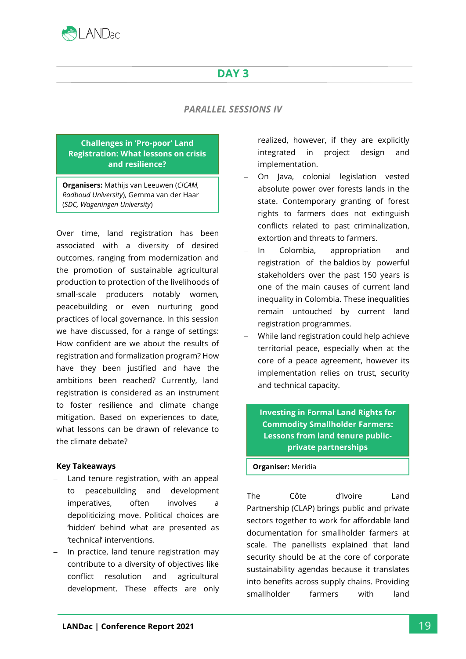

# **DAY 3**

# *PARALLEL SESSIONS IV*

#### **Challenges in 'Pro-poor' Land Registration: What lessons on crisis and resilience?**

**Organisers:** Mathijs van Leeuwen (*CICAM, Radboud University*), Gemma van der Haar (*SDC, Wageningen University*)

Over time, land registration has been associated with a diversity of desired outcomes, ranging from modernization and the promotion of sustainable agricultural production to protection of the livelihoods of small-scale producers notably women, peacebuilding or even nurturing good practices of local governance. In this session we have discussed, for a range of settings: How confident are we about the results of registration and formalization program? How have they been justified and have the ambitions been reached? Currently, land registration is considered as an instrument to foster resilience and climate change mitigation. Based on experiences to date, what lessons can be drawn of relevance to the climate debate?

#### **Key Takeaways**

- Land tenure registration, with an appeal to peacebuilding and development imperatives, often involves a depoliticizing move. Political choices are 'hidden' behind what are presented as 'technical' interventions.
- In practice, land tenure registration may contribute to a diversity of objectives like conflict resolution and agricultural development. These effects are only

realized, however, if they are explicitly integrated in project design and implementation.

- − On Java, colonial legislation vested absolute power over forests lands in the state. Contemporary granting of forest rights to farmers does not extinguish conflicts related to past criminalization, extortion and threats to farmers.
- − In Colombia, appropriation and registration of the baldios by powerful stakeholders over the past 150 years is one of the main causes of current land inequality in Colombia. These inequalities remain untouched by current land registration programmes.
- − While land registration could help achieve territorial peace, especially when at the core of a peace agreement, however its implementation relies on trust, security and technical capacity.

**Investing in Formal Land Rights for Commodity Smallholder Farmers: Lessons from land tenure publicprivate partnerships**

#### **Organiser:** Meridia

The Côte d'Ivoire Land Partnership [\(CLAP\)](https://www.meridia.land/cases/clap) brings public and private sectors together to work for affordable land documentation for smallholder farmers at scale. The panellists explained that land security should be at the core of corporate sustainability agendas because it translates into benefits across supply chains. Providing smallholder farmers with land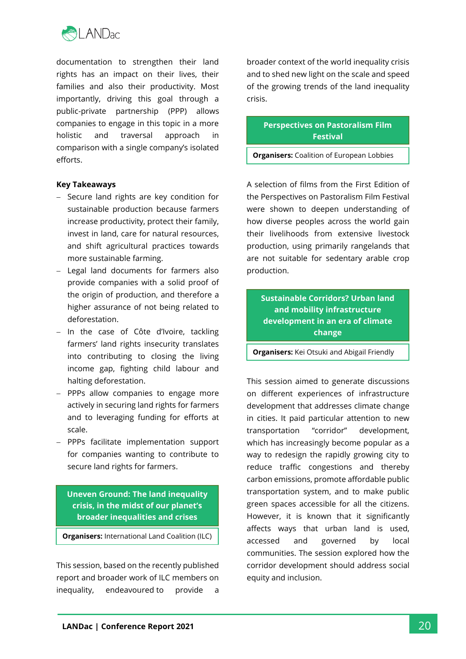

documentation to strengthen their land rights has an impact on their lives, their families and also their productivity. Most importantly, driving this goal through a public-private partnership (PPP) allows companies to engage in this topic in a more holistic and traversal approach in comparison with a single company's isolated efforts.

#### **Key Takeaways**

- − Secure land rights are key condition for sustainable production because farmers increase productivity, protect their family, invest in land, care for natural resources, and shift agricultural practices towards more sustainable farming.
- − Legal land documents for farmers also provide companies with a solid proof of the origin of production, and therefore a higher assurance of not being related to deforestation.
- − In the case of Côte d'Ivoire, tackling farmers' land rights insecurity translates into contributing to closing the living income gap, fighting child labour and halting deforestation.
- − PPPs allow companies to engage more actively in securing land rights for farmers and to leveraging funding for efforts at scale.
- − PPPs facilitate implementation support for companies wanting to contribute to secure land rights for farmers.

**Uneven Ground: The land inequality crisis, in the midst of our planet's broader inequalities and crises**

**Organisers:** International Land Coalition (ILC)

and Oxfam.

This session, based on the recently published report and broader work of ILC members on inequality, endeavoured to provide a

broader context of the world inequality crisis and to shed new light on the scale and speed of the growing trends of the land inequality crisis.

> **Perspectives on Pastoralism Film Festival**

**Organisers:** Coalition of European Lobbies

for Eastern African Pastoralism (CELEP)

A selection of films from the First Edition of the Perspectives on Pastoralism Film Festival were shown to deepen understanding of how diverse peoples across the world gain their livelihoods from extensive livestock production, using primarily rangelands that are not suitable for sedentary arable crop production.

**Sustainable Corridors? Urban land and mobility infrastructure development in an era of climate change**

**Organisers:** Kei Otsuki and Abigail Friendly

(*Utrecht University*)

This session aimed to generate discussions on different experiences of infrastructure development that addresses climate change in cities. It paid particular attention to new transportation "corridor" development, which has increasingly become popular as a way to redesign the rapidly growing city to reduce traffic congestions and thereby carbon emissions, promote affordable public transportation system, and to make public green spaces accessible for all the citizens. However, it is known that it significantly affects ways that urban land is used, accessed and governed by local communities. The session explored how the corridor development should address social equity and inclusion.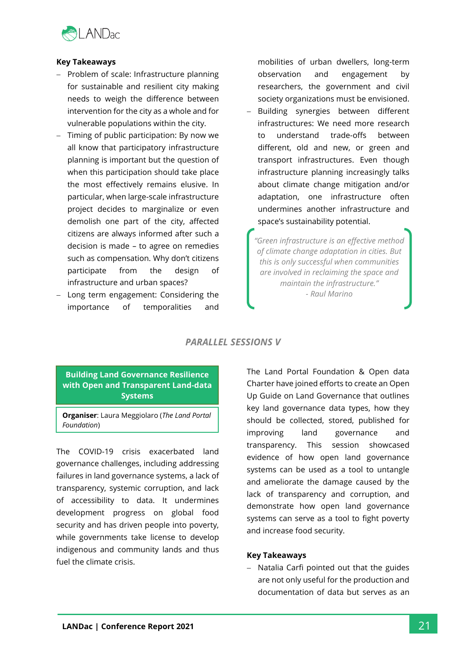

#### **Key Takeaways**

- − Problem of scale: Infrastructure planning for sustainable and resilient city making needs to weigh the difference between intervention for the city as a whole and for vulnerable populations within the city.
- − Timing of public participation: By now we all know that participatory infrastructure planning is important but the question of when this participation should take place the most effectively remains elusive. In particular, when large-scale infrastructure project decides to marginalize or even demolish one part of the city, affected citizens are always informed after such a decision is made – to agree on remedies such as compensation. Why don't citizens participate from the design of infrastructure and urban spaces?
- Long term engagement: Considering the importance of temporalities and

mobilities of urban dwellers, long-term observation and engagement by researchers, the government and civil society organizations must be envisioned.

− Building synergies between different infrastructures: We need more research to understand trade-offs between different, old and new, or green and transport infrastructures. Even though infrastructure planning increasingly talks about climate change mitigation and/or adaptation, one infrastructure often undermines another infrastructure and space's sustainability potential.

*"Green infrastructure is an effective method of climate change adaptation in cities. But this is only successful when communities are involved in reclaiming the space and maintain the infrastructure." - Raul Marino*

# *PARALLEL SESSIONS V*

# **Building Land Governance Resilience with Open and Transparent Land-data Systems**

**Organiser**: Laura Meggiolaro (*The Land Portal Foundation*)

The COVID-19 crisis exacerbated land governance challenges, including addressing failures in land governance systems, a lack of transparency, systemic corruption, and lack of accessibility to data. It undermines development progress on global food security and has driven people into poverty, while governments take license to develop indigenous and community lands and thus fuel the climate crisis.

The Land Portal Foundation & Open data Charter have joined efforts to create an Open Up Guide on Land Governance that outlines key land governance data types, how they should be collected, stored, published for improving land governance and transparency. This session showcased evidence of how open land governance systems can be used as a tool to untangle and ameliorate the damage caused by the lack of transparency and corruption, and demonstrate how open land governance systems can serve as a tool to fight poverty and increase food security.

## **Key Takeaways**

− Natalia Carfi pointed out that the guides are not only useful for the production and documentation of data but serves as an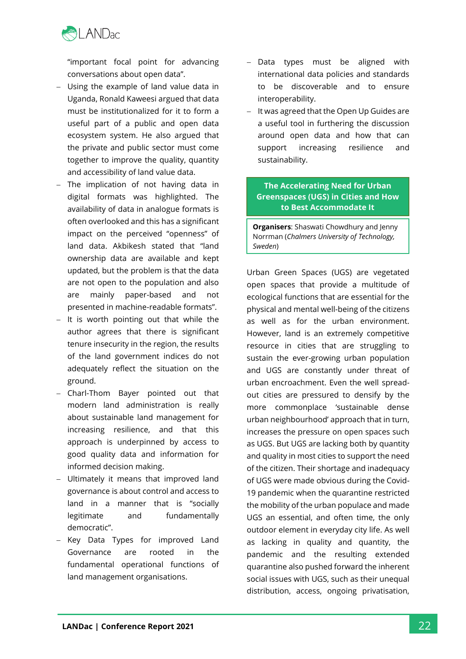

"important focal point for advancing conversations about open data".

- Using the example of land value data in Uganda, Ronald Kaweesi argued that data must be institutionalized for it to form a useful part of a public and open data ecosystem system. He also argued that the private and public sector must come together to improve the quality, quantity and accessibility of land value data.
- The implication of not having data in digital formats was highlighted. The availability of data in analogue formats is often overlooked and this has a significant impact on the perceived "openness" of land data. Akbikesh stated that "land ownership data are available and kept updated, but the problem is that the data are not open to the population and also are mainly paper-based and not presented in machine-readable formats".
- − It is worth pointing out that while the author agrees that there is significant tenure insecurity in the region, the results of the land government indices do not adequately reflect the situation on the ground.
- − Charl-Thom Bayer pointed out that modern land administration is really about sustainable land management for increasing resilience, and that this approach is underpinned by access to good quality data and information for informed decision making.
- − Ultimately it means that improved land governance is about control and access to land in a manner that is "socially legitimate and fundamentally democratic".
- − Key Data Types for improved Land Governance are rooted in the fundamental operational functions of land management organisations.
- − Data types must be aligned with international data policies and standards to be discoverable and to ensure interoperability.
- − It was agreed that the Open Up Guides are a useful tool in furthering the discussion around open data and how that can support increasing resilience and sustainability.

# **The Accelerating Need for Urban Greenspaces (UGS) in Cities and How to Best Accommodate It**

**Organisers**: Shaswati Chowdhury and Jenny Norrman (*Chalmers University of Technology, Sweden*)

Urban Green Spaces (UGS) are vegetated open spaces that provide a multitude of ecological functions that are essential for the physical and mental well-being of the citizens as well as for the urban environment. However, land is an extremely competitive resource in cities that are struggling to sustain the ever-growing urban population and UGS are constantly under threat of urban encroachment. Even the well spreadout cities are pressured to densify by the more commonplace 'sustainable dense urban neighbourhood' approach that in turn, increases the pressure on open spaces such as UGS. But UGS are lacking both by quantity and quality in most cities to support the need of the citizen. Their shortage and inadequacy of UGS were made obvious during the Covid-19 pandemic when the quarantine restricted the mobility of the urban populace and made UGS an essential, and often time, the only outdoor element in everyday city life. As well as lacking in quality and quantity, the pandemic and the resulting extended quarantine also pushed forward the inherent social issues with UGS, such as their unequal distribution, access, ongoing privatisation,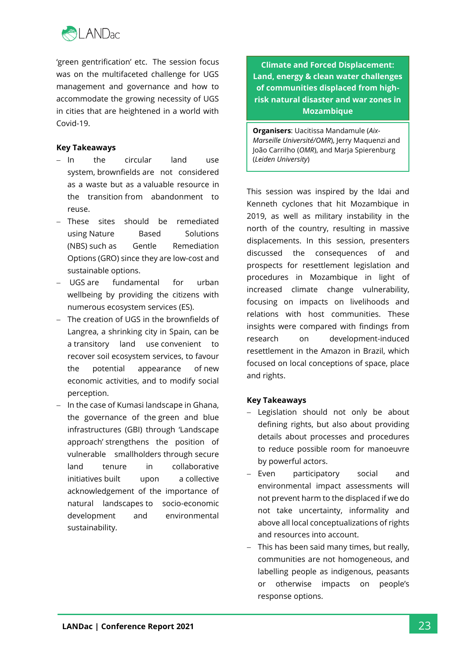

'green gentrification' etc. The session focus was on the multifaceted challenge for UGS management and governance and how to accommodate the growing necessity of UGS in cities that are heightened in a world with Covid-19.

## **Key Takeaways**

- − In the circular land use system, brownfields are not considered as a waste but as a valuable resource in the transition from abandonment to reuse.
- − These sites should be remediated using Nature Based Solutions (NBS) such as Gentle Remediation Options (GRO) since they are low-cost and sustainable options.
- − UGS are fundamental for urban wellbeing by providing the citizens with numerous ecosystem services (ES).
- − The creation of UGS in the brownfields of Langrea, a shrinking city in Spain, can be a transitory land use convenient to recover soil ecosystem services, to favour the potential appearance of new economic activities, and to modify social perception.
- − In the case of Kumasi landscape in Ghana, the governance of the green and blue infrastructures (GBI) through 'Landscape approach' strengthens the position of vulnerable smallholders through secure land tenure in collaborative initiatives built upon a collective acknowledgement of the importance of natural landscapes to socio-economic development and environmental sustainability.

**Climate and Forced Displacement: Land, energy & clean water challenges of communities displaced from highrisk natural disaster and war zones in Mozambique**

**Organisers**: Uacitissa Mandamule (*Aix-Marseille Université/OMR*), Jerry Maquenzi and João Carrilho (*OMR*), and Marja Spierenburg (*Leiden University*)

This session was inspired by the Idai and Kenneth cyclones that hit Mozambique in 2019, as well as military instability in the north of the country, resulting in massive displacements. In this session, presenters discussed the consequences of and prospects for resettlement legislation and procedures in Mozambique in light of increased climate change vulnerability, focusing on impacts on livelihoods and relations with host communities. These insights were compared with findings from research on development-induced resettlement in the Amazon in Brazil, which focused on local conceptions of space, place and rights.

## **Key Takeaways**

- − Legislation should not only be about defining rights, but also about providing details about processes and procedures to reduce possible room for manoeuvre by powerful actors.
- − Even participatory social and environmental impact assessments will not prevent harm to the displaced if we do not take uncertainty, informality and above all local conceptualizations of rights and resources into account.
- This has been said many times, but really, communities are not homogeneous, and labelling people as indigenous, peasants or otherwise impacts on people's response options.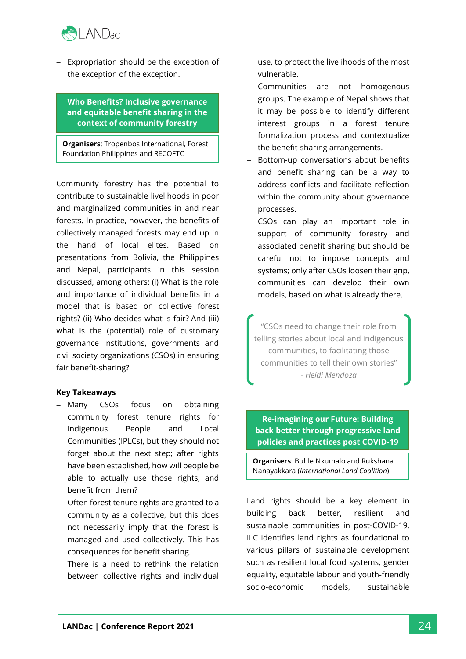

− Expropriation should be the exception of the exception of the exception.

**Who Benefits? Inclusive governance and equitable benefit sharing in the context of community forestry**

**Organisers**: Tropenbos International, Forest Foundation Philippines and RECOFTC

Community forestry has the potential to contribute to sustainable livelihoods in poor and marginalized communities in and near forests. In practice, however, the benefits of collectively managed forests may end up in the hand of local elites. Based on presentations from Bolivia, the Philippines and Nepal, participants in this session discussed, among others: (i) What is the role and importance of individual benefits in a model that is based on collective forest rights? (ii) Who decides what is fair? And (iii) what is the (potential) role of customary governance institutions, governments and civil society organizations (CSOs) in ensuring fair benefit-sharing?

#### **Key Takeaways**

- − Many CSOs focus on obtaining community forest tenure rights for Indigenous People and Local Communities (IPLCs), but they should not forget about the next step; after rights have been established, how will people be able to actually use those rights, and benefit from them?
- − Often forest tenure rights are granted to a community as a collective, but this does not necessarily imply that the forest is managed and used collectively. This has consequences for benefit sharing.
- − There is a need to rethink the relation between collective rights and individual

use, to protect the livelihoods of the most vulnerable.

- − Communities are not homogenous groups. The example of Nepal shows that it may be possible to identify different interest groups in a forest tenure formalization process and contextualize the benefit-sharing arrangements.
- − Bottom-up conversations about benefits and benefit sharing can be a way to address conflicts and facilitate reflection within the community about governance processes.
- − CSOs can play an important role in support of community forestry and associated benefit sharing but should be careful not to impose concepts and systems; only after CSOs loosen their grip, communities can develop their own models, based on what is already there.

"CSOs need to change their role from telling stories about local and indigenous communities, to facilitating those communities to tell their own stories" - *Heidi Mendoza*

## **Re-imagining our Future: Building back better through progressive land policies and practices post COVID-19**

**Organisers**: Buhle Nxumalo and Rukshana Nanayakkara (*International Land Coalition*)

Land rights should be a key element in building back better, resilient and sustainable communities in post-COVID-19. ILC identifies land rights as foundational to various pillars of sustainable development such as resilient local food systems, gender equality, equitable labour and youth-friendly socio-economic models, sustainable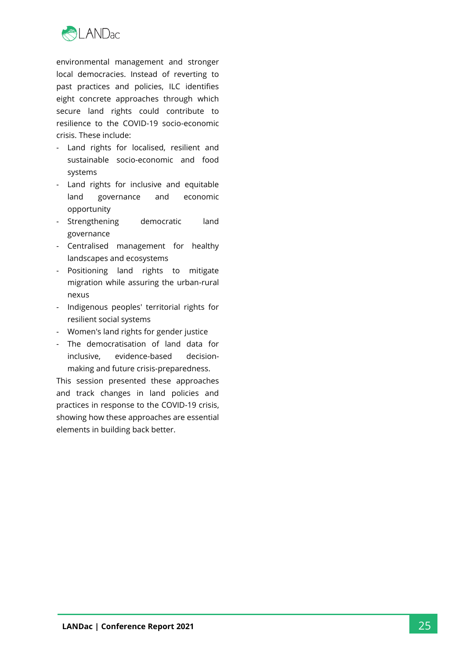

environmental management and stronger local democracies. Instead of reverting to past practices and policies, ILC identifies eight concrete approaches through which secure land rights could contribute to resilience to the COVID-19 socio-economic crisis. These include:

- Land rights for localised, resilient and sustainable socio-economic and food systems
- Land rights for inclusive and equitable land governance and economic opportunity
- Strengthening democratic land governance
- Centralised management for healthy landscapes and ecosystems
- Positioning land rights to mitigate migration while assuring the urban-rural nexus
- Indigenous peoples' territorial rights for resilient social systems
- Women's land rights for gender justice
- The democratisation of land data for inclusive, evidence-based decisionmaking and future crisis-preparedness.

This session presented these approaches and track changes in land policies and practices in response to the COVID-19 crisis, showing how these approaches are essential elements in building back better.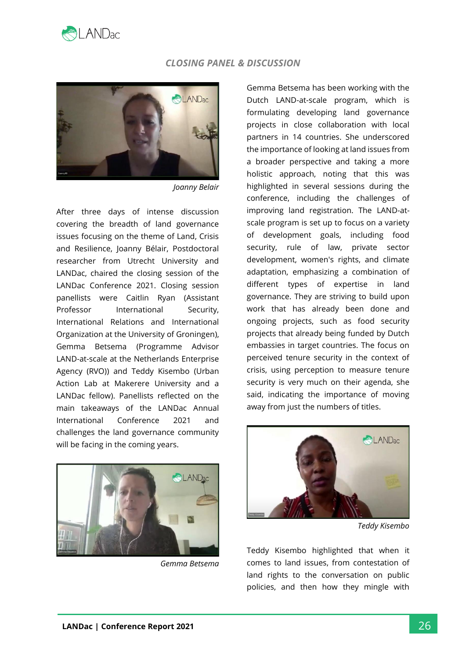

#### *CLOSING PANEL & DISCUSSION*



*Joanny Belair*

After three days of intense discussion covering the breadth of land governance issues focusing on the theme of Land, Crisis and Resilience, Joanny Bélair, Postdoctoral researcher from Utrecht University and LANDac, chaired the closing session of the LANDac Conference 2021. Closing session panellists were Caitlin Ryan (Assistant Professor International Security, International Relations and International Organization at the University of Groningen), Gemma Betsema (Programme Advisor LAND-at-scale at the Netherlands Enterprise Agency (RVO)) and Teddy Kisembo (Urban Action Lab at Makerere University and a LANDac fellow). Panellists reflected on the main takeaways of the LANDac Annual International Conference 2021 and challenges the land governance community will be facing in the coming years.



*Gemma Betsema* 

Gemma Betsema has been working with the Dutch LAND-at-scale program, which is formulating developing land governance projects in close collaboration with local partners in 14 countries. She underscored the importance of looking at land issues from a broader perspective and taking a more holistic approach, noting that this was highlighted in several sessions during the conference, including the challenges of improving land registration. The LAND-atscale program is set up to focus on a variety of development goals, including food security, rule of law, private sector development, women's rights, and climate adaptation, emphasizing a combination of different types of expertise in land governance. They are striving to build upon work that has already been done and ongoing projects, such as food security projects that already being funded by Dutch embassies in target countries. The focus on perceived tenure security in the context of crisis, using perception to measure tenure security is very much on their agenda, she said, indicating the importance of moving away from just the numbers of titles.



*Teddy Kisembo*

Teddy Kisembo highlighted that when it comes to land issues, from contestation of land rights to the conversation on public policies, and then how they mingle with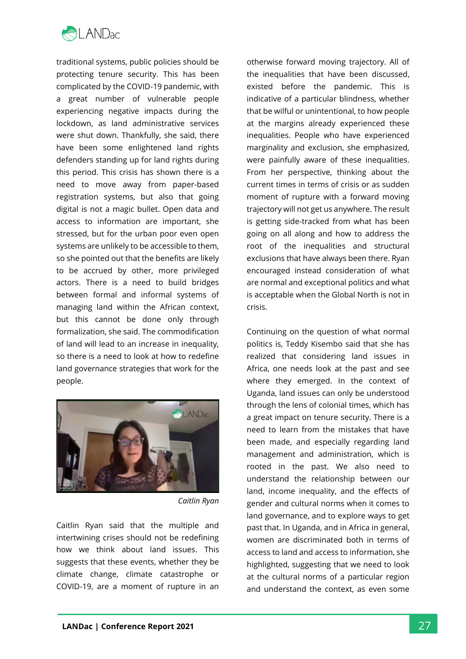

traditional systems, public policies should be protecting tenure security. This has been complicated by the COVID-19 pandemic, with a great number of vulnerable people experiencing negative impacts during the lockdown, as land administrative services were shut down. Thankfully, she said, there have been some enlightened land rights defenders standing up for land rights during this period. This crisis has shown there is a need to move away from paper-based registration systems, but also that going digital is not a magic bullet. Open data and access to information are important, she stressed, but for the urban poor even open systems are unlikely to be accessible to them, so she pointed out that the benefits are likely to be accrued by other, more privileged actors. There is a need to build bridges between formal and informal systems of managing land within the African context, but this cannot be done only through formalization, she said. The commodification of land will lead to an increase in inequality, so there is a need to look at how to redefine land governance strategies that work for the people.



*Caitlin Ryan*

Caitlin Ryan said that the multiple and intertwining crises should not be redefining how we think about land issues. This suggests that these events, whether they be climate change, climate catastrophe or COVID-19, are a moment of rupture in an

otherwise forward moving trajectory. All of the inequalities that have been discussed, existed before the pandemic. This is indicative of a particular blindness, whether that be wilful or unintentional, to how people at the margins already experienced these inequalities. People who have experienced marginality and exclusion, she emphasized, were painfully aware of these inequalities. From her perspective, thinking about the current times in terms of crisis or as sudden moment of rupture with a forward moving trajectory will not get us anywhere. The result is getting side-tracked from what has been going on all along and how to address the root of the inequalities and structural exclusions that have always been there. Ryan encouraged instead consideration of what are normal and exceptional politics and what is acceptable when the Global North is not in crisis.

Continuing on the question of what normal politics is, Teddy Kisembo said that she has realized that considering land issues in Africa, one needs look at the past and see where they emerged. In the context of Uganda, land issues can only be understood through the lens of colonial times, which has a great impact on tenure security. There is a need to learn from the mistakes that have been made, and especially regarding land management and administration, which is rooted in the past. We also need to understand the relationship between our land, income inequality, and the effects of gender and cultural norms when it comes to land governance, and to explore ways to get past that. In Uganda, and in Africa in general, women are discriminated both in terms of access to land and access to information, she highlighted, suggesting that we need to look at the cultural norms of a particular region and understand the context, as even some